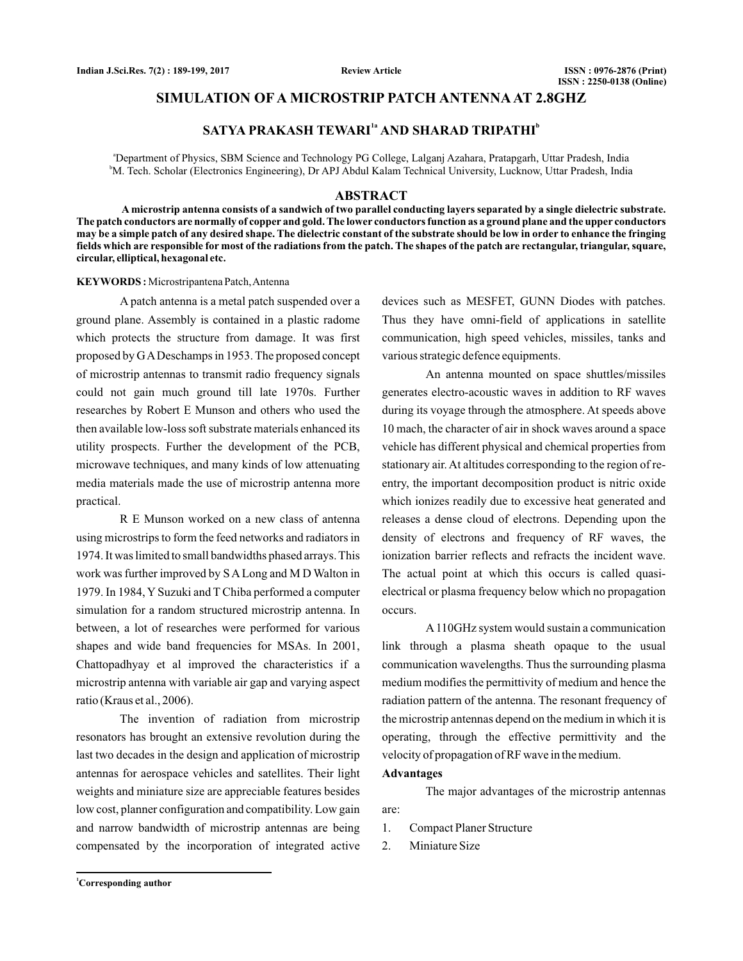## **SIMULATION OF A MICROSTRIP PATCH ANTENNA AT 2.8GHZ**

# $SATYA PRAKASH TEWARI<sup>1a</sup> AND SHARAD TRIPATHI<sup>b</sup>$

a Department of Physics, SBM Science and Technology PG College, Lalganj Azahara, Pratapgarh, Uttar Pradesh, India b M. Tech. Scholar (Electronics Engineering), Dr APJ Abdul Kalam Technical University, Lucknow, Uttar Pradesh, India

#### **ABSTRACT**

**A microstrip antenna consists of a sandwich of two parallel conducting layers separated by a single dielectric substrate. The patch conductors are normally of copper and gold. The lower conductors function as a ground plane and the upper conductors may be a simple patch of any desired shape. The dielectric constant of the substrate should be low in order to enhance the fringing fields which are responsible for most of the radiations from the patch. The shapes of the patch are rectangular, triangular, square, circular, elliptical, hexagonal etc.**

#### **KEYWORDS :** Microstripantena Patch,Antenna

A patch antenna is a metal patch suspended over a ground plane. Assembly is contained in a plastic radome which protects the structure from damage. It was first proposed by GADeschamps in 1953. The proposed concept of microstrip antennas to transmit radio frequency signals could not gain much ground till late 1970s. Further researches by Robert E Munson and others who used the then available low-loss soft substrate materials enhanced its utility prospects. Further the development of the PCB, microwave techniques, and many kinds of low attenuating media materials made the use of microstrip antenna more practical.

R E Munson worked on a new class of antenna using microstrips to form the feed networks and radiators in 1974. It was limited to small bandwidths phased arrays. This work was further improved by S A Long and M D Walton in 1979. In 1984, Y Suzuki and T Chiba performed a computer simulation for a random structured microstrip antenna. In between, a lot of researches were performed for various shapes and wide band frequencies for MSAs. In 2001, Chattopadhyay et al improved the characteristics if a microstrip antenna with variable air gap and varying aspect ratio (Kraus et al., 2006).

The invention of radiation from microstrip resonators has brought an extensive revolution during the last two decades in the design and application of microstrip antennas for aerospace vehicles and satellites. Their light weights and miniature size are appreciable features besides low cost, planner configuration and compatibility. Low gain and narrow bandwidth of microstrip antennas are being compensated by the incorporation of integrated active

devices such as MESFET, GUNN Diodes with patches. Thus they have omni-field of applications in satellite communication, high speed vehicles, missiles, tanks and various strategic defence equipments.

An antenna mounted on space shuttles/missiles generates electro-acoustic waves in addition to RF waves during its voyage through the atmosphere. At speeds above 10 mach, the character of air in shock waves around a space vehicle has different physical and chemical properties from stationary air. At altitudes corresponding to the region of reentry, the important decomposition product is nitric oxide which ionizes readily due to excessive heat generated and releases a dense cloud of electrons. Depending upon the density of electrons and frequency of RF waves, the ionization barrier reflects and refracts the incident wave. The actual point at which this occurs is called quasielectrical or plasma frequency below which no propagation occurs.

A 110GHz system would sustain a communication link through a plasma sheath opaque to the usual communication wavelengths. Thus the surrounding plasma medium modifies the permittivity of medium and hence the radiation pattern of the antenna. The resonant frequency of the microstrip antennas depend on the medium in which it is operating, through the effective permittivity and the velocity of propagation of RF wave in the medium.

### **Advantages**

The major advantages of the microstrip antennas are:

- 1. Compact Planer Structure
- 2. Miniature Size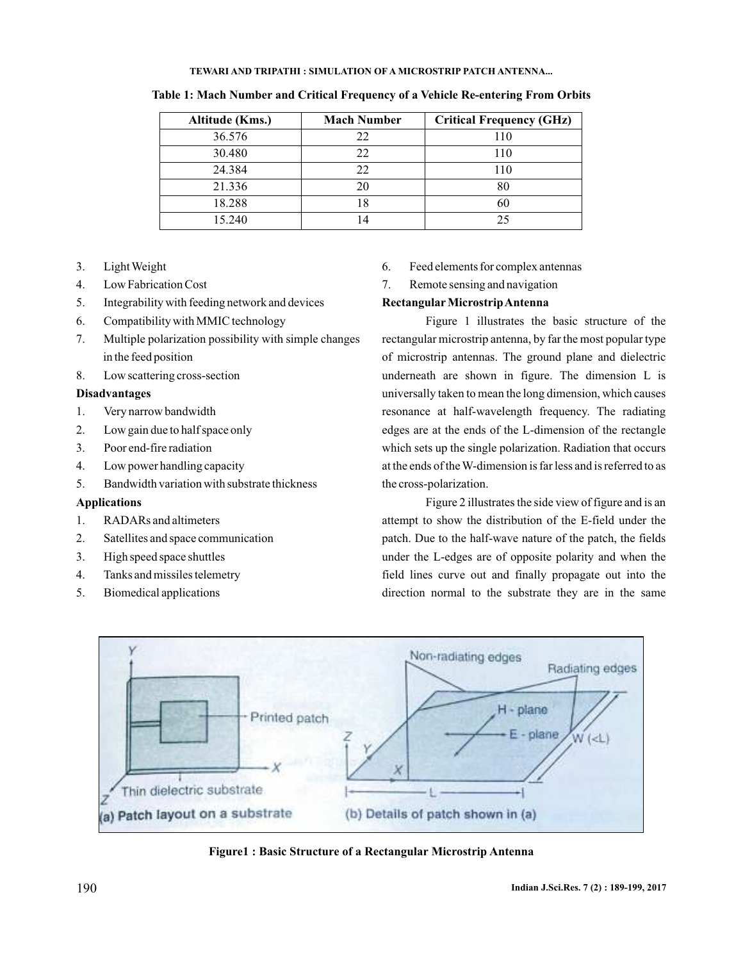| Altitude (Kms.) | <b>Mach Number</b> | <b>Critical Frequency (GHz)</b> |
|-----------------|--------------------|---------------------------------|
| 36.576          | 22                 | 110                             |
| 30.480          | 22                 | 110                             |
| 24.384          | 22                 | 110                             |
| 21.336          | 20                 | 80                              |
| 18.288          | 18                 | 60                              |
| 15.240          | $\overline{4}$     | つう                              |

**Table 1: Mach Number and Critical Frequency of a Vehicle Re-entering From Orbits**

- 3. LightWeight
- 4. Low Fabrication Cost
- 5. Integrability with feeding network and devices
- 6. Compatibility with MMIC technology
- 7. Multiple polarization possibility with simple changes in the feed position
- 8. Low scattering cross-section

# **Disadvantages**

- 1. Very narrow bandwidth
- 2. Low gain due to half space only
- 3. Poor end-fire radiation
- 4. Low power handling capacity
- 5. Bandwidth variation with substrate thickness

# **Applications**

- 1. RADARs and altimeters
- 2. Satellites and space communication
- 3. High speed space shuttles
- 4. Tanks and missiles telemetry
- 5. Biomedical applications
- 6. Feed elements for complex antennas
- 7. Remote sensing and navigation

## **Rectangular MicrostripAntenna**

Figure 1 illustrates the basic structure of the rectangular microstrip antenna, by far the most popular type of microstrip antennas. The ground plane and dielectric underneath are shown in figure. The dimension L is universally taken to mean the long dimension, which causes resonance at half-wavelength frequency. The radiating edges are at the ends of the L-dimension of the rectangle which sets up the single polarization. Radiation that occurs at the ends of theW-dimension is far less and is referred to as the cross-polarization.

Figure 2 illustrates the side view of figure and is an attempt to show the distribution of the E-field under the patch. Due to the half-wave nature of the patch, the fields under the L-edges are of opposite polarity and when the field lines curve out and finally propagate out into the direction normal to the substrate they are in the same



**Figure1 : Basic Structure of a Rectangular Microstrip Antenna**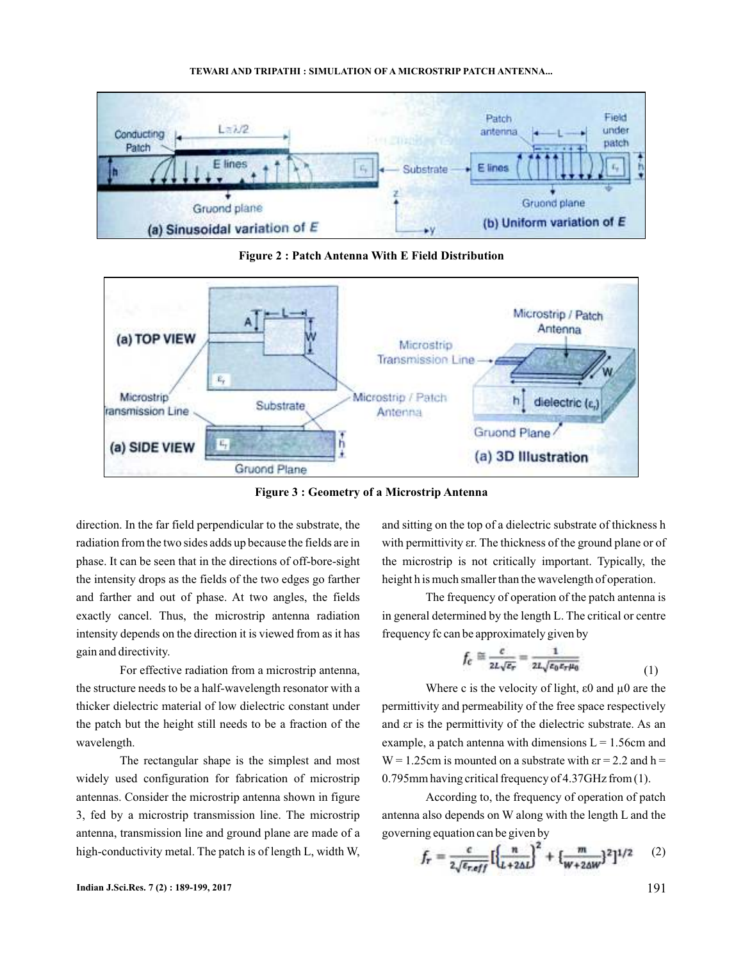

**Figure 2 : Patch Antenna With E Field Distribution**



**Figure 3 : Geometry of a Microstrip Antenna**

direction. In the far field perpendicular to the substrate, the radiation from the two sides adds up because the fields are in phase. It can be seen that in the directions of off-bore-sight the intensity drops as the fields of the two edges go farther and farther and out of phase. At two angles, the fields exactly cancel. Thus, the microstrip antenna radiation intensity depends on the direction it is viewed from as it has gain and directivity.

For effective radiation from a microstrip antenna, the structure needs to be a half-wavelength resonator with a thicker dielectric material of low dielectric constant under the patch but the height still needs to be a fraction of the wavelength.

The rectangular shape is the simplest and most widely used configuration for fabrication of microstrip antennas. Consider the microstrip antenna shown in figure 3, fed by a microstrip transmission line. The microstrip antenna, transmission line and ground plane are made of a high-conductivity metal. The patch is of length L, width W,

and sitting on the top of a dielectric substrate of thickness h with permittivity  $\epsilon$ r. The thickness of the ground plane or of the microstrip is not critically important. Typically, the height h is much smaller than the wavelength of operation.

The frequency of operation of the patch antenna is in general determined by the length L. The critical or centre frequency fc can be approximately given by

$$
f_c \cong \frac{c}{2L\sqrt{\varepsilon_r}} = \frac{1}{2L\sqrt{\varepsilon_0 \varepsilon_r \mu_0}}\tag{1}
$$

Where c is the velocity of light,  $\varepsilon$ 0 and  $\mu$ 0 are the permittivity and permeability of the free space respectively and  $\epsilon$ r is the permittivity of the dielectric substrate. As an example, a patch antenna with dimensions  $L = 1.56$ cm and  $W = 1.25$ cm is mounted on a substrate with  $\epsilon r = 2.2$  and  $h =$ 0.795mm having critical frequency of 4.37GHz from (1).

According to, the frequency of operation of patch antenna also depends on W along with the length L and the governing equation can be given by

$$
f_r = \frac{c}{2\sqrt{\epsilon_{reff}}} \left[ \left\{ \frac{n}{L + 2\Delta L} \right\}^2 + \left\{ \frac{m}{W + 2\Delta W} \right\}^2 \right]^{1/2} \tag{2}
$$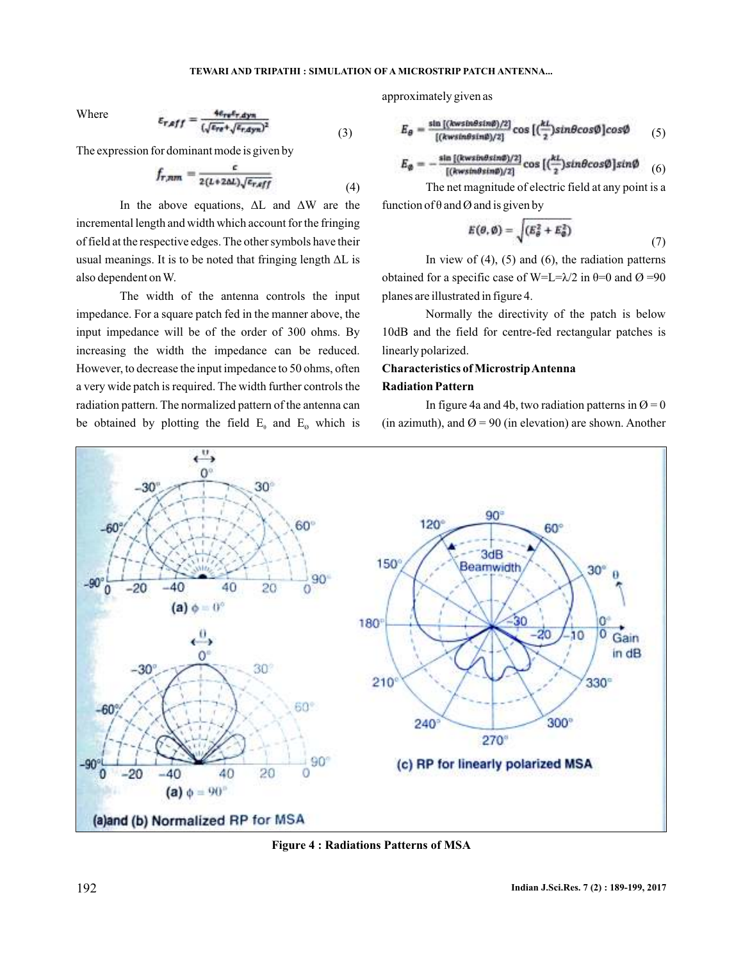Where

$$
\varepsilon_{r,eff} = \frac{4e_{r\pi}t_{r,dyn}}{(\sqrt{e_{r\pi}} + \sqrt{e_{r,dyn}})^2}
$$
(3)

The expression for dominant mode is given by

$$
f_{r,nm} = \frac{\epsilon}{2(L+2\Delta L)\sqrt{\epsilon_{r,eff}}}
$$
(4)

In the above equations,  $\Delta L$  and  $\Delta W$  are the incremental length and width which account for the fringing of field at the respective edges. The other symbols have their usual meanings. It is to be noted that fringing length  $\Delta L$  is also dependent onW.

The width of the antenna controls the input impedance. For a square patch fed in the manner above, the input impedance will be of the order of 300 ohms. By increasing the width the impedance can be reduced. However, to decrease the input impedance to 50 ohms, often a very wide patch is required. The width further controls the radiation pattern. The normalized pattern of the antenna can be obtained by plotting the field  $E_{\theta}$  and  $E_{\phi}$  which is

approximately given as

$$
E_{\theta} = \frac{\sin[(kws \ln \theta sin \theta)/2]}{[(kws \ln \theta sin \theta)/2]} \cos\left[\left(\frac{kt}{2}\right) sin \theta cos \phi\right] cos \phi \tag{5}
$$

$$
E_{\emptyset} = -\frac{\sin\left[\frac{(\text{kwsin}\theta\sin\theta)}{2}\right]}{\left[(\text{kwsin}\theta\sin\theta)/2\right]}\cos\left[\left(\frac{kL}{2}\right)\sin\theta\cos\theta\right]\sin\theta} \quad (6)
$$

The net magnitude of electric field at any point is a function of  $\theta$  and  $\varnothing$  and is given by

$$
E(\theta, \emptyset) = \sqrt{(E_{\theta}^2 + E_{\theta}^2)}
$$
\n(7)

In view of  $(4)$ ,  $(5)$  and  $(6)$ , the radiation patterns obtained for a specific case of W=L= $\lambda/2$  in  $\theta$ =0 and Ø =90 planes are illustrated in figure 4.

Normally the directivity of the patch is below 10dB and the field for centre-fed rectangular patches is linearly polarized.

# **Characteristics of MicrostripAntenna Radiation Pattern**

In figure 4a and 4b, two radiation patterns in  $\varnothing = 0$ (in azimuth), and  $\varnothing$  = 90 (in elevation) are shown. Another



**Figure 4 : Radiations Patterns of MSA**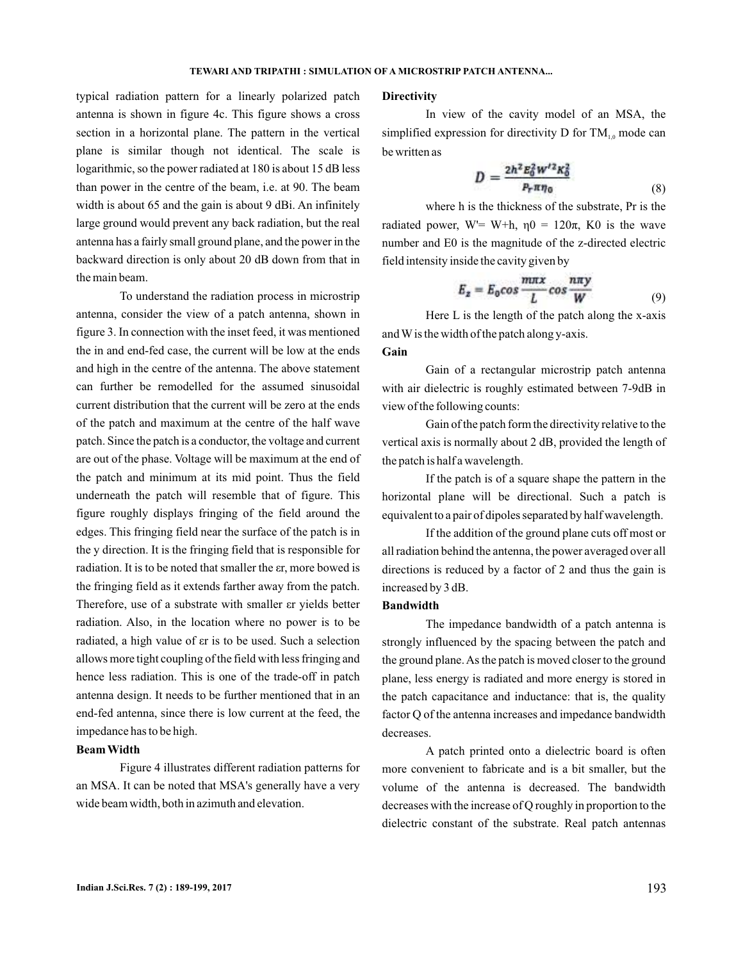typical radiation pattern for a linearly polarized patch antenna is shown in figure 4c. This figure shows a cross section in a horizontal plane. The pattern in the vertical plane is similar though not identical. The scale is logarithmic, so the power radiated at 180 is about 15 dB less than power in the centre of the beam, i.e. at 90. The beam width is about 65 and the gain is about 9 dBi. An infinitely large ground would prevent any back radiation, but the real antenna has a fairly small ground plane, and the power in the backward direction is only about 20 dB down from that in the main beam.

To understand the radiation process in microstrip antenna, consider the view of a patch antenna, shown in figure 3. In connection with the inset feed, it was mentioned the in and end-fed case, the current will be low at the ends and high in the centre of the antenna. The above statement can further be remodelled for the assumed sinusoidal current distribution that the current will be zero at the ends of the patch and maximum at the centre of the half wave patch. Since the patch is a conductor, the voltage and current are out of the phase. Voltage will be maximum at the end of the patch and minimum at its mid point. Thus the field underneath the patch will resemble that of figure. This figure roughly displays fringing of the field around the edges. This fringing field near the surface of the patch is in the y direction. It is the fringing field that is responsible for radiation. It is to be noted that smaller the  $\epsilon$ r, more bowed is the fringing field as it extends farther away from the patch. Therefore, use of a substrate with smaller er yields better radiation. Also, in the location where no power is to be radiated, a high value of  $er$  is to be used. Such a selection allows more tight coupling of the field with less fringing and hence less radiation. This is one of the trade-off in patch antenna design. It needs to be further mentioned that in an end-fed antenna, since there is low current at the feed, the impedance has to be high.

# **Beam Width**

Figure 4 illustrates different radiation patterns for an MSA. It can be noted that MSA's generally have a very wide beam width, both in azimuth and elevation.

### **Directivity**

In view of the cavity model of an MSA, the simplified expression for directivity D for  $TM_{1,0}$  mode can be written as

$$
D = \frac{2h^2 E_0^2 W'^2 K_0^2}{P_r \pi \eta_0} \tag{8}
$$

where h is the thickness of the substrate, Pr is the radiated power, W'= W+h,  $\eta$ 0 = 120 $\pi$ , K0 is the wave number and E0 is the magnitude of the z-directed electric field intensity inside the cavity given by

$$
E_z = E_0 \cos \frac{m\pi x}{L} \cos \frac{n\pi y}{W}
$$
 (9)

Here  $L$  is the length of the patch along the  $x$ -axis andWis the width of the patch along y-axis.

# **Gain**

Gain of a rectangular microstrip patch antenna with air dielectric is roughly estimated between 7-9dB in view of the following counts:

Gain of the patch form the directivity relative to the vertical axis is normally about 2 dB, provided the length of the patch is half a wavelength.

If the patch is of a square shape the pattern in the horizontal plane will be directional. Such a patch is equivalent to a pair of dipoles separated by half wavelength.

If the addition of the ground plane cuts off most or all radiation behind the antenna, the power averaged over all directions is reduced by a factor of 2 and thus the gain is increased by 3 dB.

#### **Bandwidth**

The impedance bandwidth of a patch antenna is strongly influenced by the spacing between the patch and the ground plane.As the patch is moved closer to the ground plane, less energy is radiated and more energy is stored in the patch capacitance and inductance: that is, the quality factor Q of the antenna increases and impedance bandwidth decreases.

A patch printed onto a dielectric board is often more convenient to fabricate and is a bit smaller, but the volume of the antenna is decreased. The bandwidth decreases with the increase of Q roughly in proportion to the dielectric constant of the substrate. Real patch antennas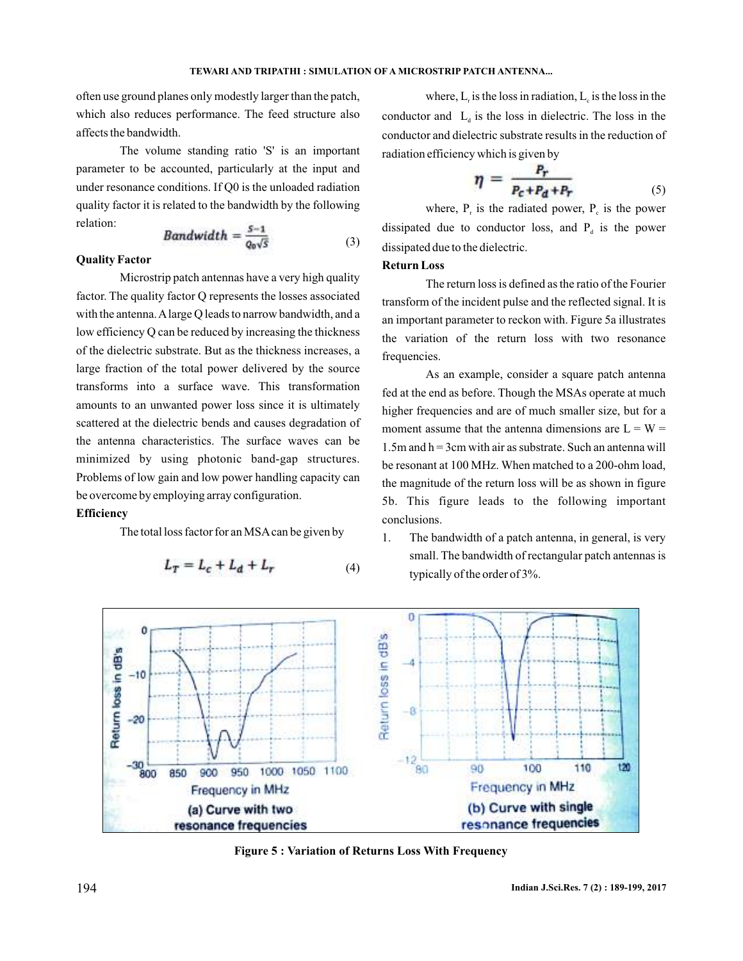often use ground planes only modestly larger than the patch, which also reduces performance. The feed structure also affects the bandwidth.

The volume standing ratio 'S' is an important parameter to be accounted, particularly at the input and under resonance conditions. If Q0 is the unloaded radiation quality factor it is related to the bandwidth by the following relation:

$$
Bandwidth = \frac{S-1}{Q_0\sqrt{S}} \tag{3}
$$

## **Quality Factor**

Microstrip patch antennas have a very high quality factor. The quality factor Q represents the losses associated with the antenna. A large Q leads to narrow bandwidth, and a low efficiency Q can be reduced by increasing the thickness of the dielectric substrate. But as the thickness increases, a large fraction of the total power delivered by the source transforms into a surface wave. This transformation amounts to an unwanted power loss since it is ultimately scattered at the dielectric bends and causes degradation of the antenna characteristics. The surface waves can be minimized by using photonic band-gap structures. Problems of low gain and low power handling capacity can be overcome by employing array configuration.

### **Efficiency**

The total loss factor for an MSAcan be given by

$$
L_T = L_c + L_d + L_r \tag{4}
$$

where,  $L_r$  is the loss in radiation,  $L_c$  is the loss in the conductor and  $L_d$  is the loss in dielectric. The loss in the conductor and dielectric substrate results in the reduction of radiation efficiency which is given by

$$
\eta = \frac{P_r}{P_c + P_d + P_r} \tag{5}
$$

where,  $P_r$  is the radiated power,  $P_c$  is the power dissipated due to conductor loss, and  $P_d$  is the power dissipated due to the dielectric.

#### **Return Loss**

The return loss is defined as the ratio of the Fourier transform of the incident pulse and the reflected signal. It is an important parameter to reckon with. Figure 5a illustrates the variation of the return loss with two resonance frequencies.

As an example, consider a square patch antenna fed at the end as before. Though the MSAs operate at much higher frequencies and are of much smaller size, but for a moment assume that the antenna dimensions are  $L = W =$ 1.5m and  $h = 3$ cm with air as substrate. Such an antenna will be resonant at 100 MHz. When matched to a 200-ohm load, the magnitude of the return loss will be as shown in figure 5b. This figure leads to the following important conclusions.

1. The bandwidth of a patch antenna, in general, is very small. The bandwidth of rectangular patch antennas is typically of the order of 3%.



**Figure 5 : Variation of Returns Loss With Frequency**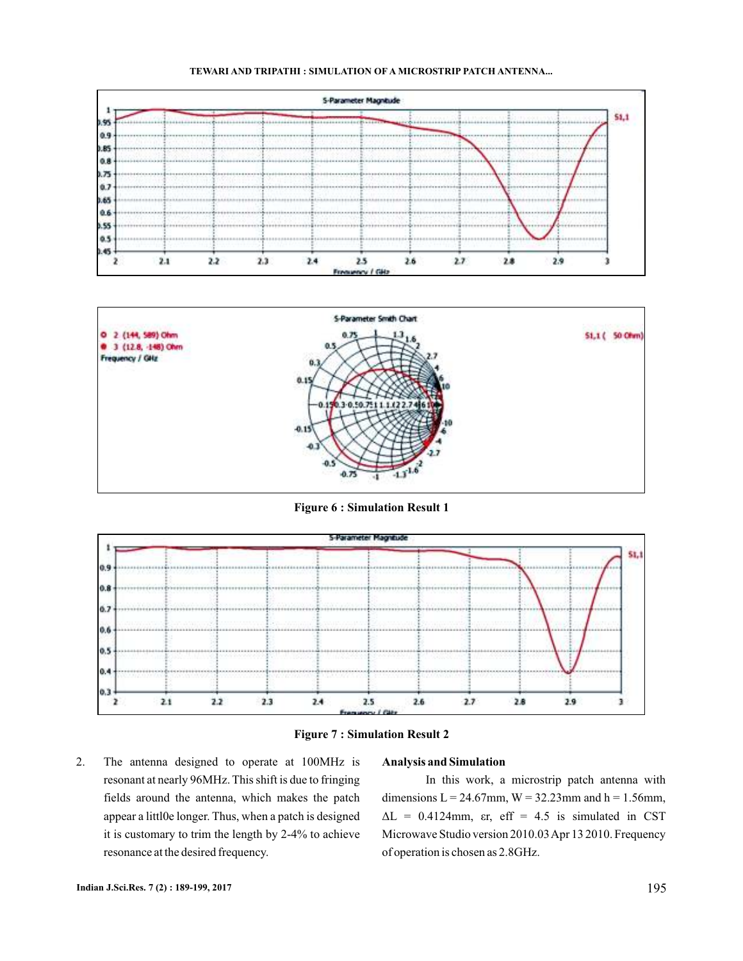



**Figure 6 : Simulation Result 1**





2. The antenna designed to operate at 100MHz is resonant at nearly 96MHz. This shift is due to fringing fields around the antenna, which makes the patch appear a littl0e longer. Thus, when a patch is designed it is customary to trim the length by 2-4% to achieve resonance at the desired frequency.

### **Analysis and Simulation**

In this work, a microstrip patch antenna with dimensions  $L = 24.67$ mm,  $W = 32.23$ mm and  $h = 1.56$ mm,  $\Delta L = 0.4124$ mm, er, eff = 4.5 is simulated in CST Microwave Studio version 2010.03Apr 13 2010. Frequency of operation is chosen as 2.8GHz.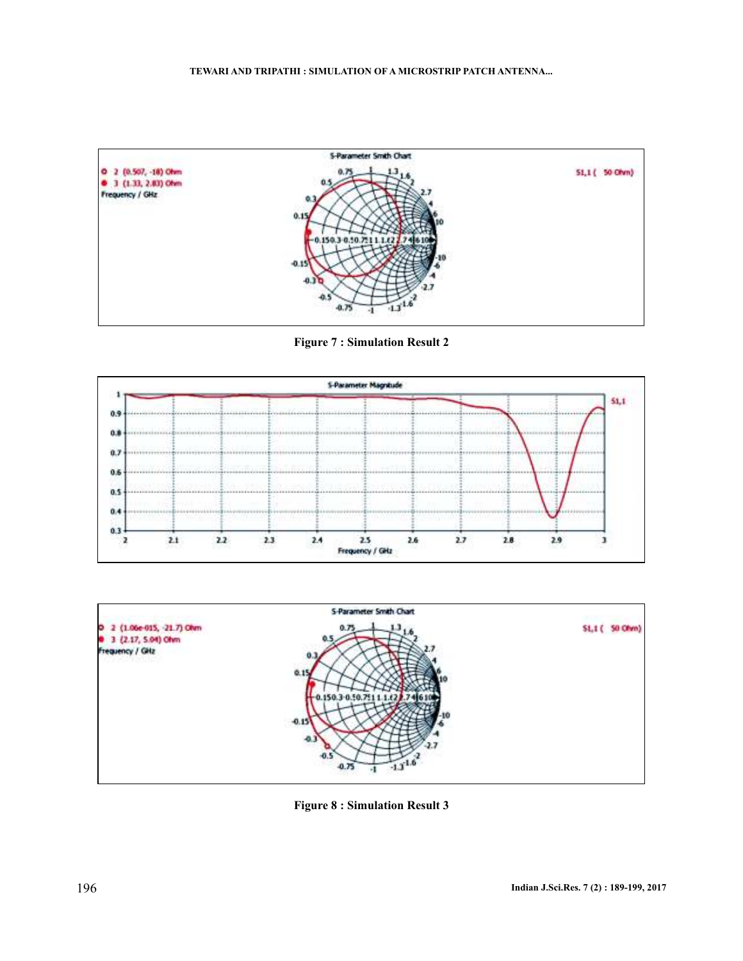

**Figure 7 : Simulation Result 2**





**Figure 8 : Simulation Result 3**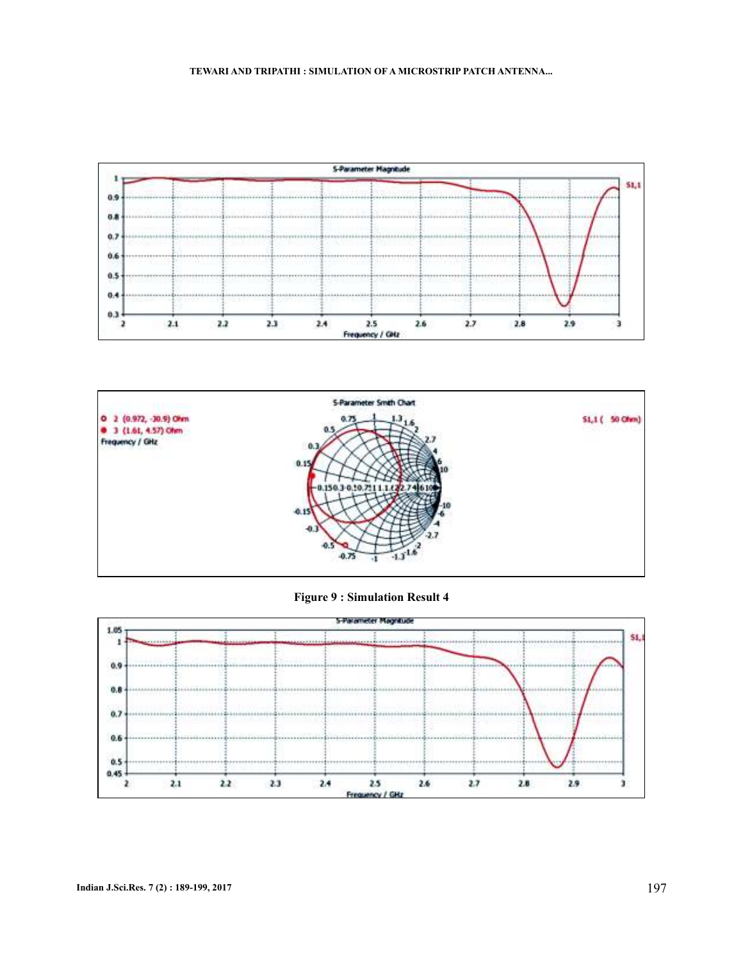



**Figure 9 : Simulation Result 4**

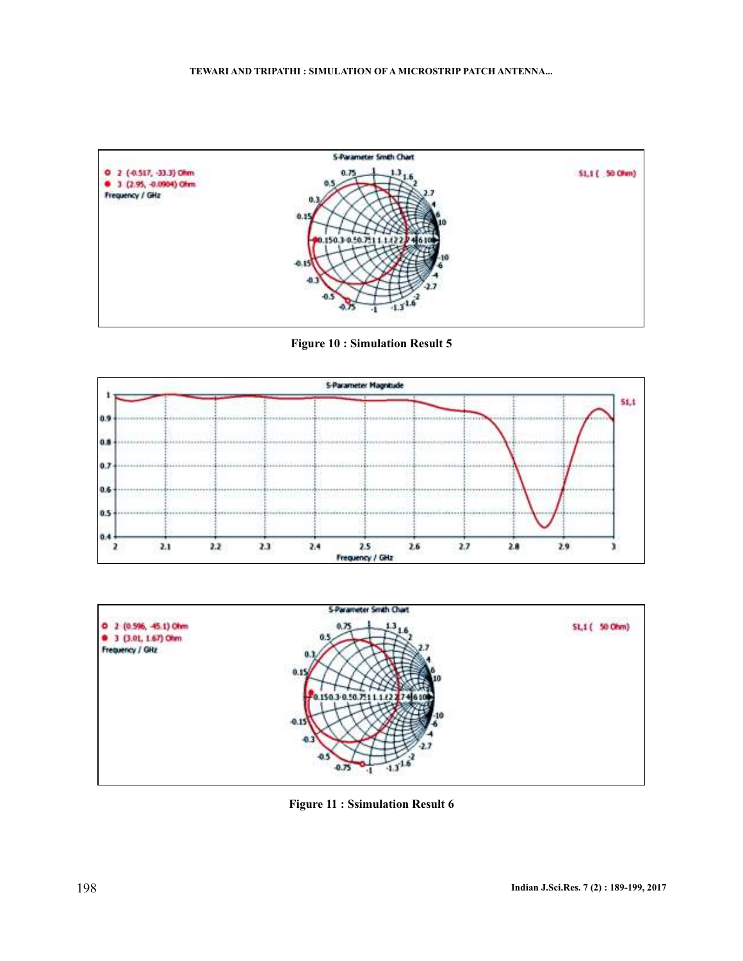

**Figure 10 : Simulation Result 5**





**Figure 11 : Ssimulation Result 6**